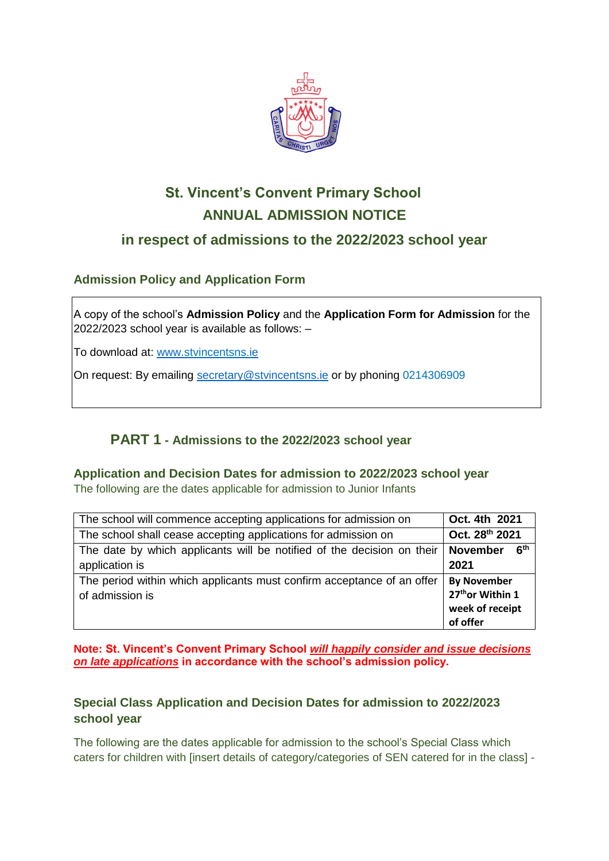

# **St. Vincent's Convent Primary School ANNUAL ADMISSION NOTICE**

# **in respect of admissions to the 2022/2023 school year**

# **Admission Policy and Application Form**

A copy of the school's **Admission Policy** and the **Application Form for Admission** for the 2022/2023 school year is available as follows: –

To download at: www.stvincentsns.ie

On request: By emailing [secretary@stvincentsns.ie](mailto:secretary@stvincentsns.ie) or by phoning 0214306909

# **PART 1 - Admissions to the 2022/2023 school year**

#### **Application and Decision Dates for admission to 2022/2023 school year**

The following are the dates applicable for admission to Junior Infants

| The school will commence accepting applications for admission on                          | Oct. 4th 2021                                             |
|-------------------------------------------------------------------------------------------|-----------------------------------------------------------|
| The school shall cease accepting applications for admission on                            | Oct. 28th 2021                                            |
| The date by which applicants will be notified of the decision on their                    | 6 <sup>th</sup><br><b>November</b>                        |
| application is                                                                            | 2021                                                      |
| The period within which applicants must confirm acceptance of an offer<br>of admission is | <b>By November</b><br>27th or Within 1<br>week of receipt |
|                                                                                           | of offer                                                  |

**Note: St. Vincent's Convent Primary School** *will happily consider and issue decisions on late applications* **in accordance with the school's admission policy.**

### **Special Class Application and Decision Dates for admission to 2022/2023 school year**

The following are the dates applicable for admission to the school's Special Class which caters for children with [insert details of category/categories of SEN catered for in the class] -